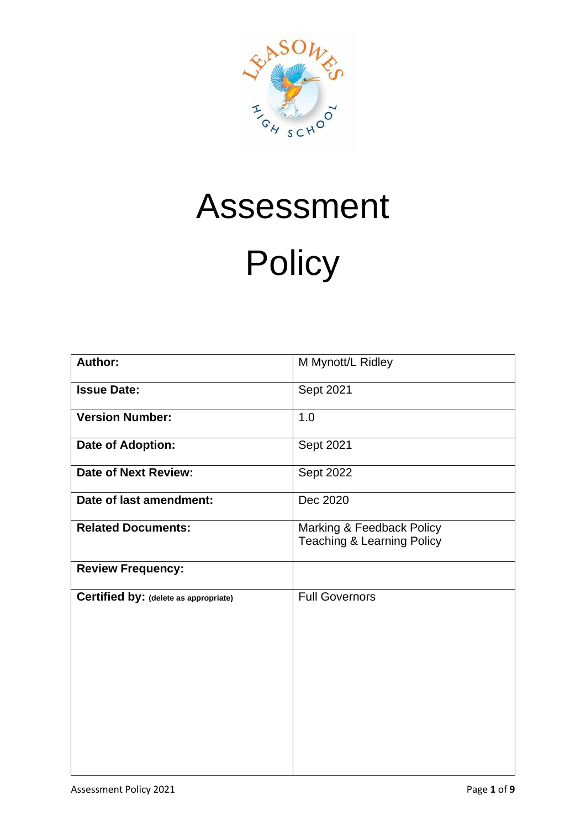

# Assessment **Policy**

| Author:                               | M Mynott/L Ridley                                                  |
|---------------------------------------|--------------------------------------------------------------------|
| <b>Issue Date:</b>                    | Sept 2021                                                          |
| <b>Version Number:</b>                | 1.0                                                                |
| <b>Date of Adoption:</b>              | Sept 2021                                                          |
| <b>Date of Next Review:</b>           | Sept 2022                                                          |
| Date of last amendment:               | Dec 2020                                                           |
| <b>Related Documents:</b>             | Marking & Feedback Policy<br><b>Teaching &amp; Learning Policy</b> |
| <b>Review Frequency:</b>              |                                                                    |
| Certified by: (delete as appropriate) | <b>Full Governors</b>                                              |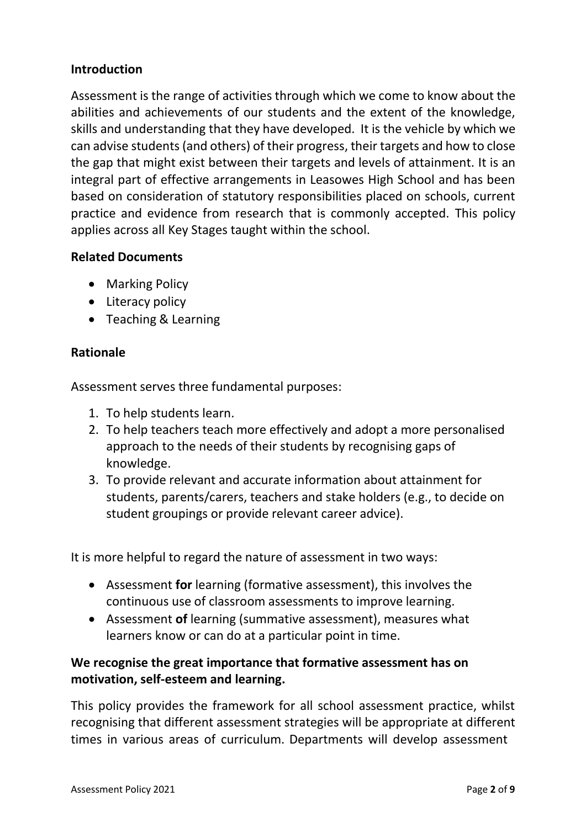## **Introduction**

Assessment is the range of activities through which we come to know about the abilities and achievements of our students and the extent of the knowledge, skills and understanding that they have developed. It is the vehicle by which we can advise students(and others) of their progress, their targets and how to close the gap that might exist between their targets and levels of attainment. It is an integral part of effective arrangements in Leasowes High School and has been based on consideration of statutory responsibilities placed on schools, current practice and evidence from research that is commonly accepted. This policy applies across all Key Stages taught within the school.

#### **Related Documents**

- Marking Policy
- Literacy policy
- Teaching & Learning

#### **Rationale**

Assessment serves three fundamental purposes:

- 1. To help students learn.
- 2. To help teachers teach more effectively and adopt a more personalised approach to the needs of their students by recognising gaps of knowledge.
- 3. To provide relevant and accurate information about attainment for students, parents/carers, teachers and stake holders (e.g., to decide on student groupings or provide relevant career advice).

It is more helpful to regard the nature of assessment in two ways:

- Assessment **for** learning (formative assessment), this involves the continuous use of classroom assessments to improve learning.
- Assessment **of** learning (summative assessment), measures what learners know or can do at a particular point in time.

# **We recognise the great importance that formative assessment has on motivation, self-esteem and learning.**

This policy provides the framework for all school assessment practice, whilst recognising that different assessment strategies will be appropriate at different times in various areas of curriculum. Departments will develop assessment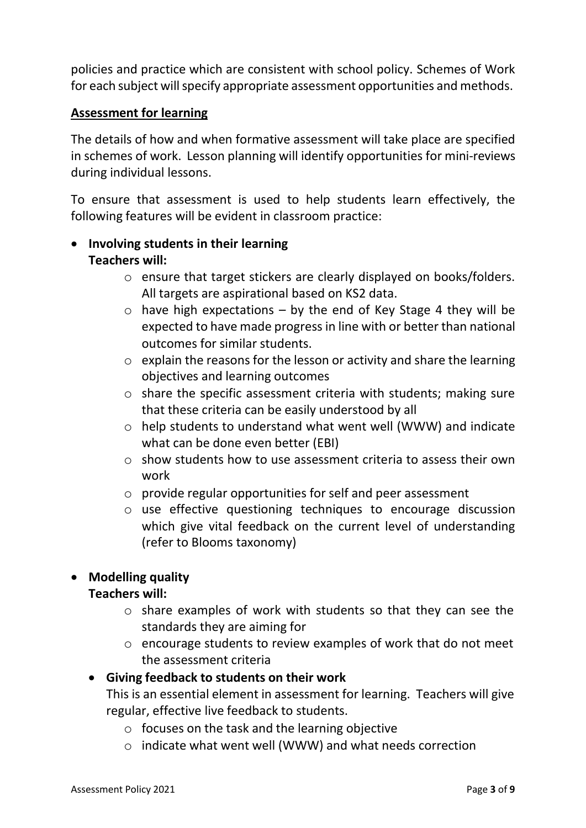policies and practice which are consistent with school policy. Schemes of Work for each subject will specify appropriate assessment opportunities and methods.

## **Assessment for learning**

The details of how and when formative assessment will take place are specified in schemes of work. Lesson planning will identify opportunities for mini-reviews during individual lessons.

To ensure that assessment is used to help students learn effectively, the following features will be evident in classroom practice:

# • **Involving students in their learning Teachers will:**

- o ensure that target stickers are clearly displayed on books/folders. All targets are aspirational based on KS2 data.
- $\circ$  have high expectations by the end of Key Stage 4 they will be expected to have made progressin line with or better than national outcomes for similar students.
- $\circ$  explain the reasons for the lesson or activity and share the learning objectives and learning outcomes
- o share the specific assessment criteria with students; making sure that these criteria can be easily understood by all
- o help students to understand what went well (WWW) and indicate what can be done even better (EBI)
- o show students how to use assessment criteria to assess their own work
- o provide regular opportunities for self and peer assessment
- o use effective questioning techniques to encourage discussion which give vital feedback on the current level of understanding (refer to Blooms taxonomy)

## • **Modelling quality**

## **Teachers will:**

- o share examples of work with students so that they can see the standards they are aiming for
- o encourage students to review examples of work that do not meet the assessment criteria

## • **Giving feedback to students on their work**

This is an essential element in assessment for learning. Teachers will give regular, effective live feedback to students.

- $\circ$  focuses on the task and the learning objective
- o indicate what went well (WWW) and what needs correction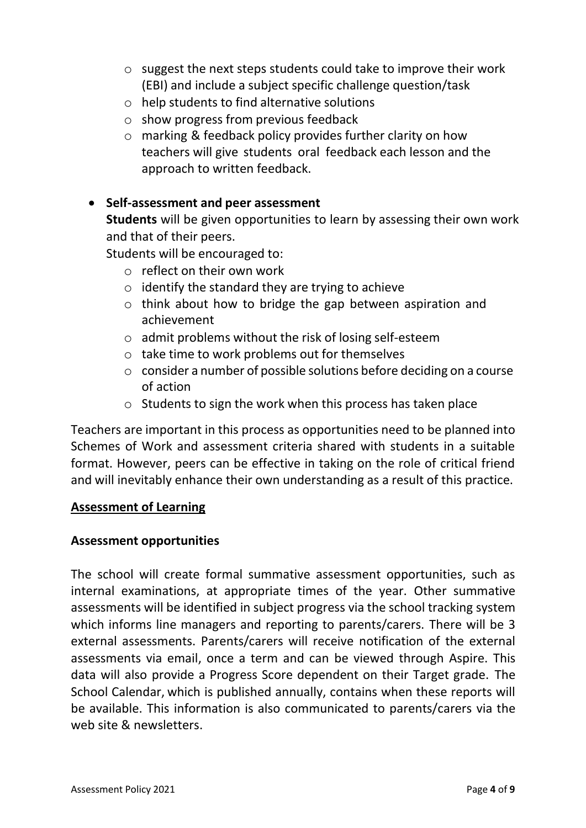- o suggest the next steps students could take to improve their work (EBI) and include a subject specific challenge question/task
- o help students to find alternative solutions
- o show progress from previous feedback
- o marking & feedback policy provides further clarity on how teachers will give students oral feedback each lesson and the approach to written feedback.

## • **Self-assessment and peer assessment**

**Students** will be given opportunities to learn by assessing their own work and that of their peers.

Students will be encouraged to:

- o reflect on their own work
- $\circ$  identify the standard they are trying to achieve
- o think about how to bridge the gap between aspiration and achievement
- o admit problems without the risk of losing self-esteem
- o take time to work problems out for themselves
- o consider a number of possible solutions before deciding on a course of action
- o Students to sign the work when this process has taken place

Teachers are important in this process as opportunities need to be planned into Schemes of Work and assessment criteria shared with students in a suitable format. However, peers can be effective in taking on the role of critical friend and will inevitably enhance their own understanding as a result of this practice.

#### **Assessment of Learning**

#### **Assessment opportunities**

The school will create formal summative assessment opportunities, such as internal examinations, at appropriate times of the year. Other summative assessments will be identified in subject progress via the school tracking system which informs line managers and reporting to parents/carers. There will be 3 external assessments. Parents/carers will receive notification of the external assessments via email, once a term and can be viewed through Aspire. This data will also provide a Progress Score dependent on their Target grade. The School Calendar, which is published annually, contains when these reports will be available. This information is also communicated to parents/carers via the web site & newsletters.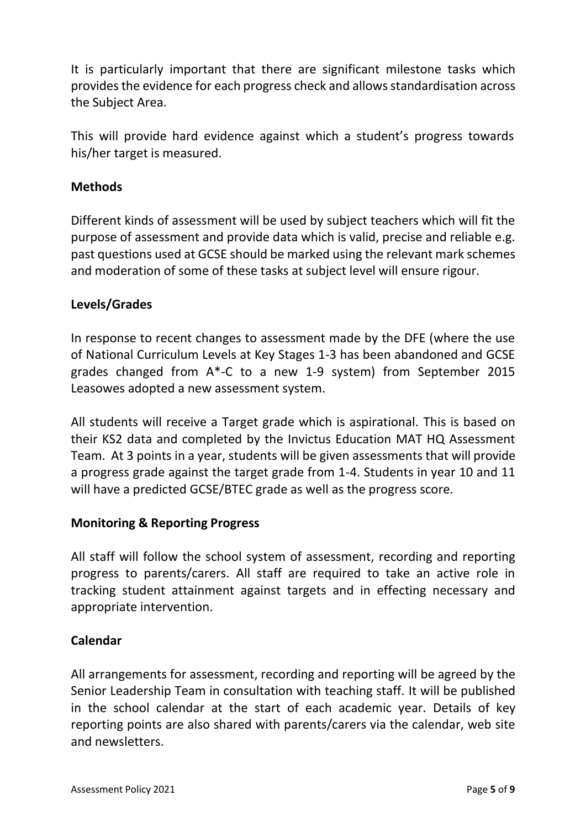It is particularly important that there are significant milestone tasks which provides the evidence for each progress check and allows standardisation across the Subject Area.

This will provide hard evidence against which a student's progress towards his/her target is measured.

### **Methods**

Different kinds of assessment will be used by subject teachers which will fit the purpose of assessment and provide data which is valid, precise and reliable e.g. past questions used at GCSE should be marked using the relevant mark schemes and moderation of some of these tasks at subject level will ensure rigour.

#### **Levels/Grades**

In response to recent changes to assessment made by the DFE (where the use of National Curriculum Levels at Key Stages 1-3 has been abandoned and GCSE grades changed from A\*-C to a new 1-9 system) from September 2015 Leasowes adopted a new assessment system.

All students will receive a Target grade which is aspirational. This is based on their KS2 data and completed by the Invictus Education MAT HQ Assessment Team. At 3 points in a year, students will be given assessments that will provide a progress grade against the target grade from 1-4. Students in year 10 and 11 will have a predicted GCSE/BTEC grade as well as the progress score.

#### **Monitoring & Reporting Progress**

All staff will follow the school system of assessment, recording and reporting progress to parents/carers. All staff are required to take an active role in tracking student attainment against targets and in effecting necessary and appropriate intervention.

#### **Calendar**

All arrangements for assessment, recording and reporting will be agreed by the Senior Leadership Team in consultation with teaching staff. It will be published in the school calendar at the start of each academic year. Details of key reporting points are also shared with parents/carers via the calendar, web site and newsletters.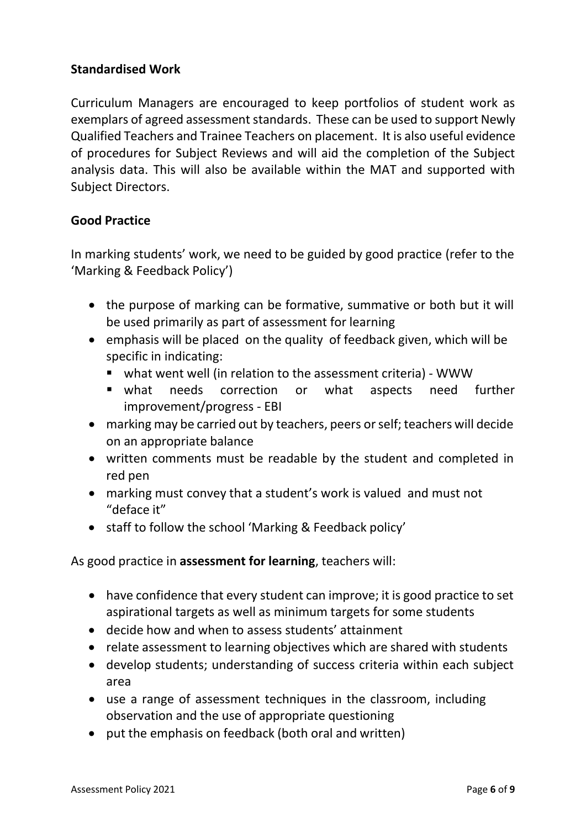### **Standardised Work**

Curriculum Managers are encouraged to keep portfolios of student work as exemplars of agreed assessment standards. These can be used to support Newly Qualified Teachers and Trainee Teachers on placement. It is also useful evidence of procedures for Subject Reviews and will aid the completion of the Subject analysis data. This will also be available within the MAT and supported with Subject Directors.

#### **Good Practice**

In marking students' work, we need to be guided by good practice (refer to the 'Marking & Feedback Policy')

- the purpose of marking can be formative, summative or both but it will be used primarily as part of assessment for learning
- emphasis will be placed on the quality of feedback given, which will be specific in indicating:
	- what went well (in relation to the assessment criteria) WWW
	- what needs correction or what aspects need further improvement/progress - EBI
- marking may be carried out by teachers, peers or self; teachers will decide on an appropriate balance
- written comments must be readable by the student and completed in red pen
- marking must convey that a student's work is valued and must not "deface it"
- staff to follow the school 'Marking & Feedback policy'

As good practice in **assessment for learning**, teachers will:

- have confidence that every student can improve; it is good practice to set aspirational targets as well as minimum targets for some students
- decide how and when to assess students' attainment
- relate assessment to learning objectives which are shared with students
- develop students; understanding of success criteria within each subject area
- use a range of assessment techniques in the classroom, including observation and the use of appropriate questioning
- put the emphasis on feedback (both oral and written)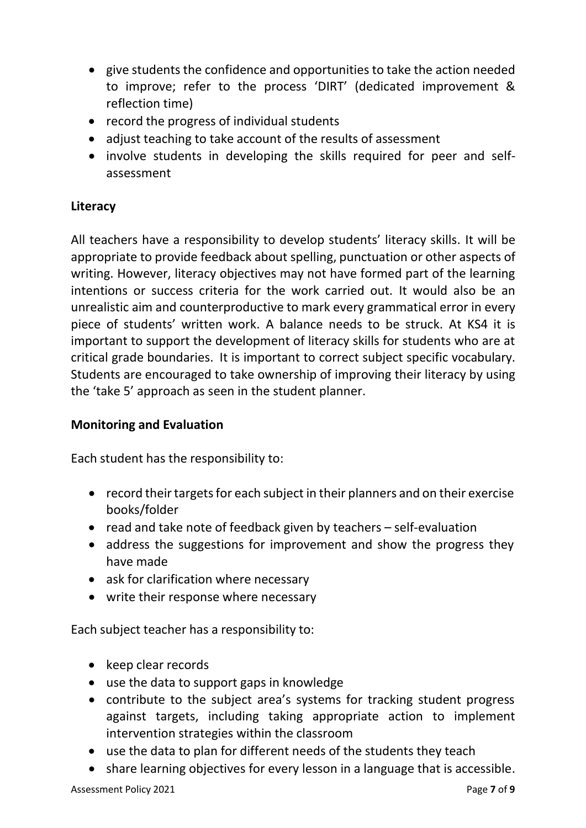- give students the confidence and opportunities to take the action needed to improve; refer to the process 'DIRT' (dedicated improvement & reflection time)
- record the progress of individual students
- adjust teaching to take account of the results of assessment
- involve students in developing the skills required for peer and selfassessment

# **Literacy**

All teachers have a responsibility to develop students' literacy skills. It will be appropriate to provide feedback about spelling, punctuation or other aspects of writing. However, literacy objectives may not have formed part of the learning intentions or success criteria for the work carried out. It would also be an unrealistic aim and counterproductive to mark every grammatical error in every piece of students' written work. A balance needs to be struck. At KS4 it is important to support the development of literacy skills for students who are at critical grade boundaries. It is important to correct subject specific vocabulary. Students are encouraged to take ownership of improving their literacy by using the 'take 5' approach as seen in the student planner.

## **Monitoring and Evaluation**

Each student has the responsibility to:

- record their targets for each subject in their planners and on their exercise books/folder
- read and take note of feedback given by teachers self-evaluation
- address the suggestions for improvement and show the progress they have made
- ask for clarification where necessary
- write their response where necessary

Each subject teacher has a responsibility to:

- keep clear records
- use the data to support gaps in knowledge
- contribute to the subject area's systems for tracking student progress against targets, including taking appropriate action to implement intervention strategies within the classroom
- use the data to plan for different needs of the students they teach
- share learning objectives for every lesson in a language that is accessible.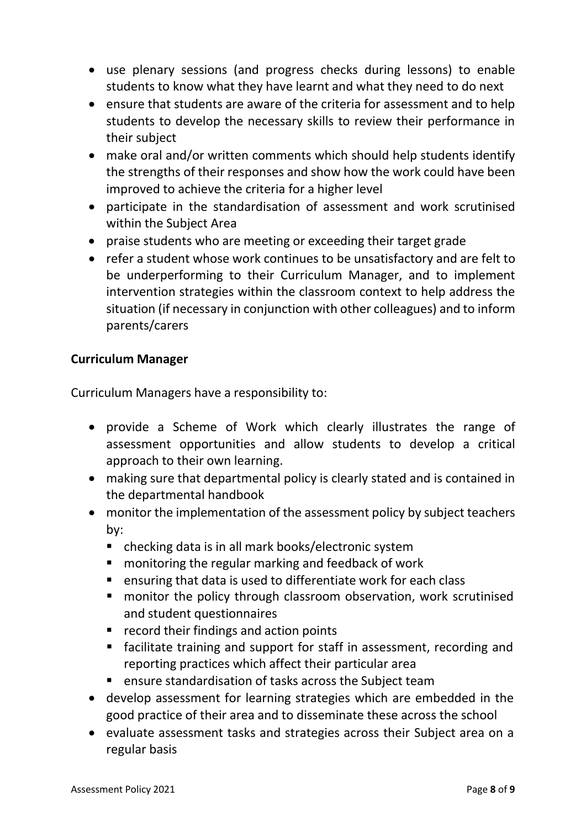- use plenary sessions (and progress checks during lessons) to enable students to know what they have learnt and what they need to do next
- ensure that students are aware of the criteria for assessment and to help students to develop the necessary skills to review their performance in their subject
- make oral and/or written comments which should help students identify the strengths of their responses and show how the work could have been improved to achieve the criteria for a higher level
- participate in the standardisation of assessment and work scrutinised within the Subject Area
- praise students who are meeting or exceeding their target grade
- refer a student whose work continues to be unsatisfactory and are felt to be underperforming to their Curriculum Manager, and to implement intervention strategies within the classroom context to help address the situation (if necessary in conjunction with other colleagues) and to inform parents/carers

# **Curriculum Manager**

Curriculum Managers have a responsibility to:

- provide a Scheme of Work which clearly illustrates the range of assessment opportunities and allow students to develop a critical approach to their own learning.
- making sure that departmental policy is clearly stated and is contained in the departmental handbook
- monitor the implementation of the assessment policy by subject teachers by:
	- checking data is in all mark books/electronic system
	- monitoring the regular marking and feedback of work
	- ensuring that data is used to differentiate work for each class
	- monitor the policy through classroom observation, work scrutinised and student questionnaires
	- record their findings and action points
	- facilitate training and support for staff in assessment, recording and reporting practices which affect their particular area
	- ensure standardisation of tasks across the Subject team
- develop assessment for learning strategies which are embedded in the good practice of their area and to disseminate these across the school
- evaluate assessment tasks and strategies across their Subject area on a regular basis